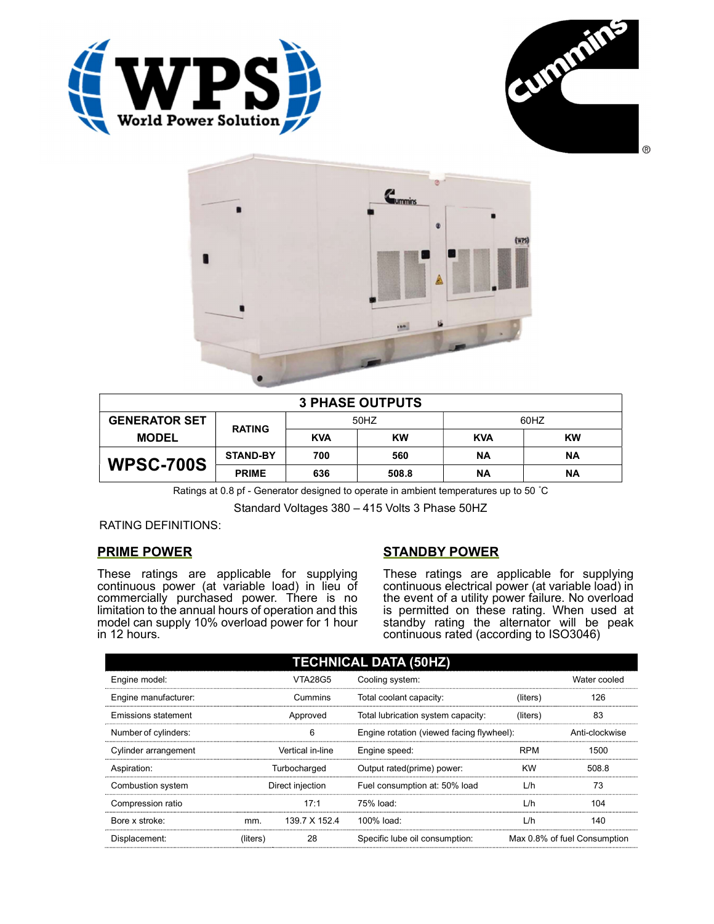





| <b>3 PHASE OUTPUTS</b> |                 |            |           |            |           |  |
|------------------------|-----------------|------------|-----------|------------|-----------|--|
| <b>GENERATOR SET</b>   | <b>RATING</b>   | 50HZ       |           | 60HZ       |           |  |
| <b>MODEL</b>           |                 | <b>KVA</b> | <b>KW</b> | <b>KVA</b> | <b>KW</b> |  |
| <b>WPSC-700S</b>       | <b>STAND-BY</b> | 700        | 560       | <b>NA</b>  | ΝA        |  |
|                        | <b>PRIME</b>    | 636        | 508.8     | ΝA         | ΝA        |  |

Ratings at 0.8 pf - Generator designed to operate in ambient temperatures up to 50 °C

Standard Voltages 380 – 415 Volts 3 Phase 50HZ

RATING DEFINITIONS:

# PRIME POWER

These ratings are applicable for supplying continuous power (at variable load) in lieu of commercially purchased power. There is no limitation to the annual hours of operation and this model can supply 10% overload power for 1 hour in 12 hours.

# STANDBY POWER

These ratings are applicable for supplying continuous electrical power (at variable load) in the event of a utility power failure. No overload is permitted on these rating. When used at standby rating the alternator will be peak continuous rated (according to ISO3046)

| <b>TECHNICAL DATA (50HZ)</b> |                  |               |                                           |            |                              |  |
|------------------------------|------------------|---------------|-------------------------------------------|------------|------------------------------|--|
| Engine model:                | <b>VTA28G5</b>   |               | Cooling system:                           |            | Water cooled                 |  |
| Engine manufacturer:         | Cummins          |               | Total coolant capacity:                   | (liters)   | 126                          |  |
| <b>Emissions statement</b>   | Approved         |               | Total lubrication system capacity:        | (liters)   | 83                           |  |
| Number of cylinders:         | 6                |               | Engine rotation (viewed facing flywheel): |            | Anti-clockwise               |  |
| Cylinder arrangement         | Vertical in-line |               | Engine speed:                             | <b>RPM</b> | 1500                         |  |
| Aspiration:                  | Turbocharged     |               | Output rated(prime) power:                | <b>KW</b>  | 508.8                        |  |
| Combustion system            | Direct injection |               | Fuel consumption at: 50% load             | L/h        | 73                           |  |
| Compression ratio            |                  | 17:1          | 75% load:                                 | L/h        | 104                          |  |
| Bore x stroke:               | mm.              | 139.7 X 152.4 | 100% load:                                | L/h        | 140                          |  |
| Displacement:                | (liters)         | 28            | Specific lube oil consumption:            |            | Max 0.8% of fuel Consumption |  |